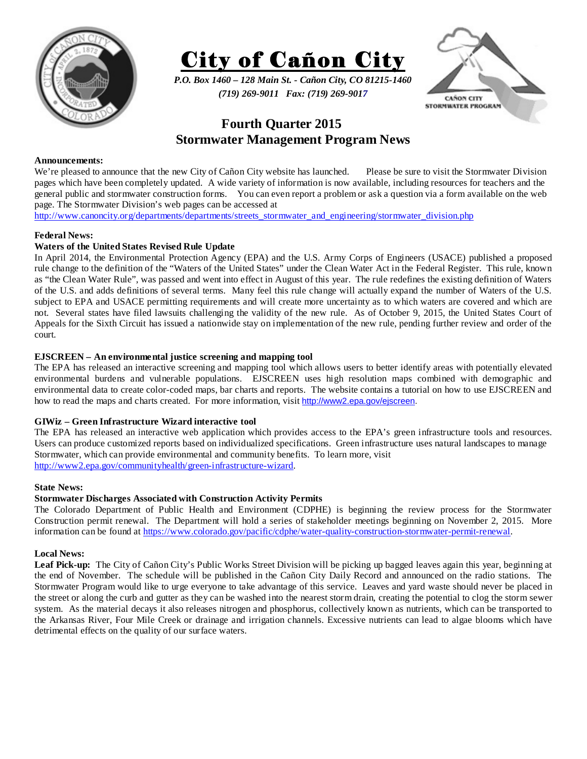



*P.O. Box 1460 – 128 Main St. - Cañon City, CO 81215-1460 (719) 269-9011 Fax: (719) 269-9017* 



# **Fourth Quarter 2015 Stormwater Management Program News**

#### **Announcements:**

We're pleased to announce that the new City of Cañon City website has launched. Please be sure to visit the Stormwater Division pages which have been completely updated. A wide variety of information is now available, including resources for teachers and the general public and stormwater construction forms. You can even report a problem or ask a question via a form available on the web page. The Stormwater Division's web pages can be accessed at

http://www.canoncity.org/departments/departments/streets\_stormwater\_and\_engineering/stormwater\_division.php

#### **Federal News:**

## **Waters of the United States Revised Rule Update**

In April 2014, the Environmental Protection Agency (EPA) and the U.S. Army Corps of Engineers (USACE) published a proposed rule change to the definition of the "Waters of the United States" under the Clean Water Act in the Federal Register. This rule, known as "the Clean Water Rule", was passed and went into effect in August of this year. The rule redefines the existing definition of Waters of the U.S. and adds definitions of several terms. Many feel this rule change will actually expand the number of Waters of the U.S. subject to EPA and USACE permitting requirements and will create more uncertainty as to which waters are covered and which are not. Several states have filed lawsuits challenging the validity of the new rule. As of October 9, 2015, the United States Court of Appeals for the Sixth Circuit has issued a nationwide stay on implementation of the new rule, pending further review and order of the court.

## **EJSCREEN – An environmental justice screening and mapping tool**

The EPA has released an interactive screening and mapping tool which allows users to better identify areas with potentially elevated environmental burdens and vulnerable populations. EJSCREEN uses high resolution maps combined with demographic and environmental data to create color-coded maps, bar charts and reports. The website contains a tutorial on how to use EJSCREEN and how to read the maps and charts created. For more information, visit http://www2.epa.gov/ejscreen.

## **GIWiz – Green Infrastructure Wizard interactive tool**

The EPA has released an interactive web application which provides access to the EPA's green infrastructure tools and resources. Users can produce customized reports based on individualized specifications. Green infrastructure uses natural landscapes to manage Stormwater, which can provide environmental and community benefits. To learn more, visit http://www2.epa.gov/communityhealth/green-infrastructure-wizard.

#### **State News:**

## **Stormwater Discharges Associated with Construction Activity Permits**

The Colorado Department of Public Health and Environment (CDPHE) is beginning the review process for the Stormwater Construction permit renewal. The Department will hold a series of stakeholder meetings beginning on November 2, 2015. More information can be found at https://www.colorado.gov/pacific/cdphe/water-quality-construction-stormwater-permit-renewal.

## **Local News:**

Leaf Pick-up: The City of Cañon City's Public Works Street Division will be picking up bagged leaves again this year, beginning at the end of November. The schedule will be published in the Cañon City Daily Record and announced on the radio stations. The Stormwater Program would like to urge everyone to take advantage of this service. Leaves and yard waste should never be placed in the street or along the curb and gutter as they can be washed into the nearest storm drain, creating the potential to clog the storm sewer system. As the material decays it also releases nitrogen and phosphorus, collectively known as nutrients, which can be transported to the Arkansas River, Four Mile Creek or drainage and irrigation channels. Excessive nutrients can lead to algae blooms which have detrimental effects on the quality of our surface waters.